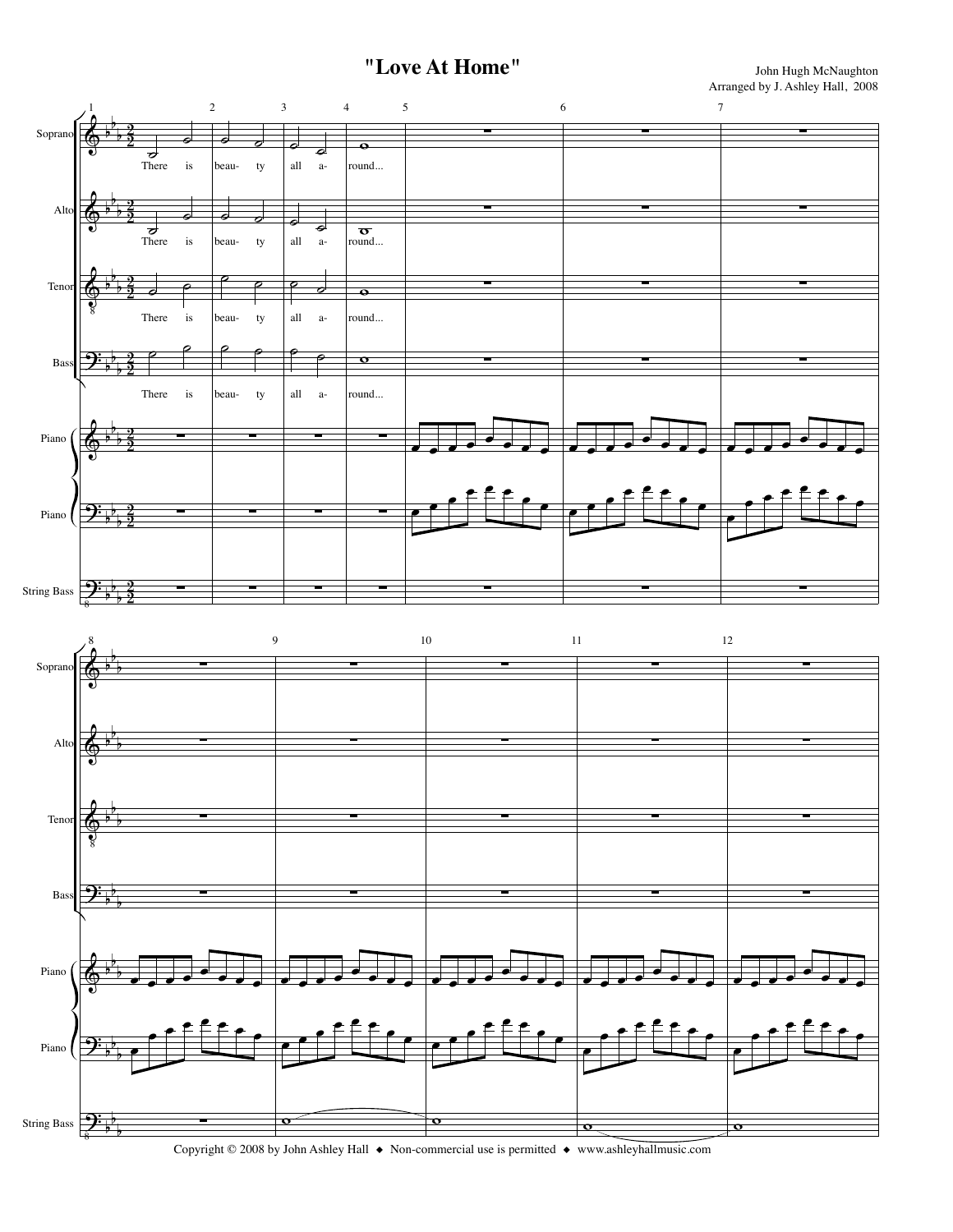## **"Love At Home"** John Hugh McNaughton

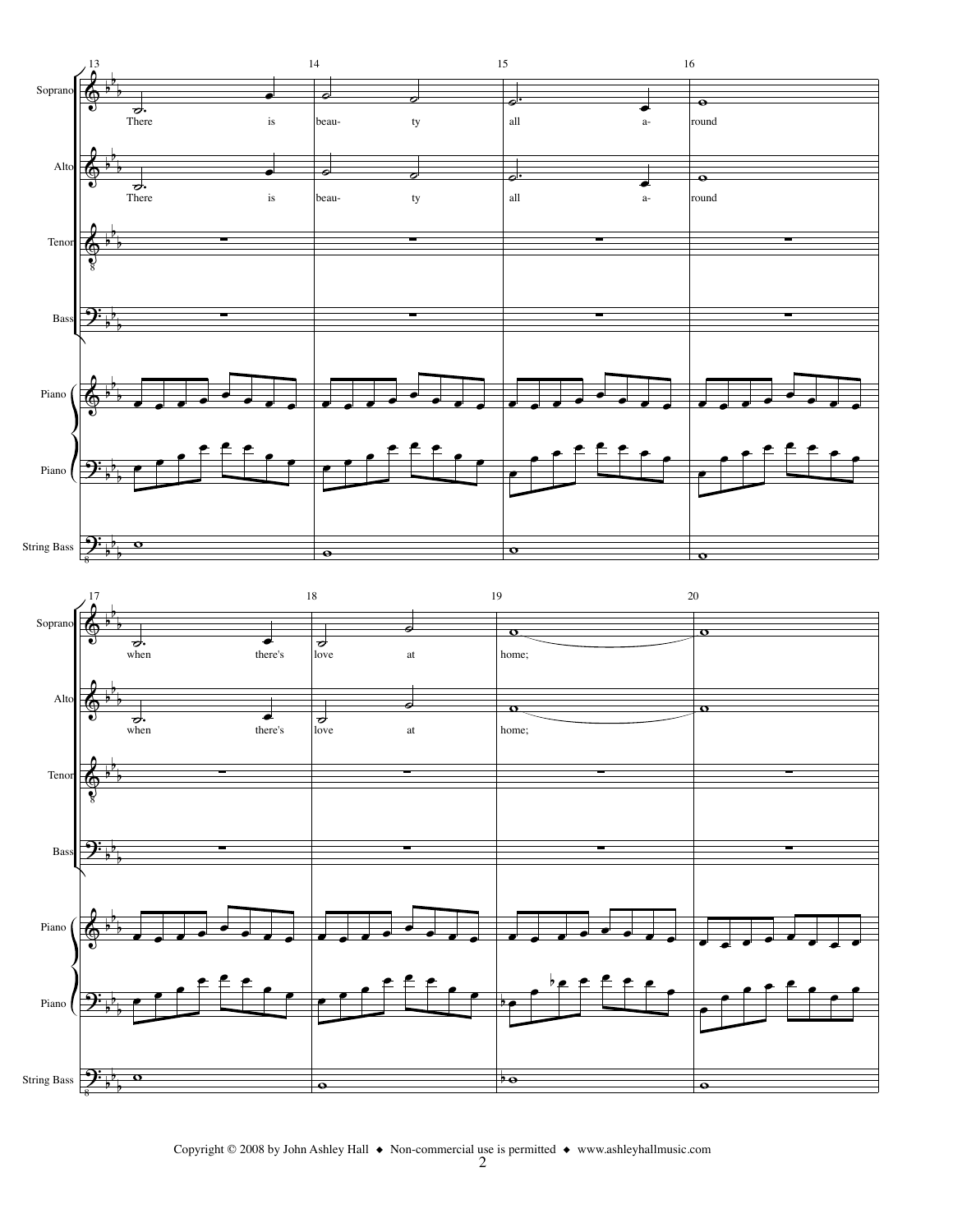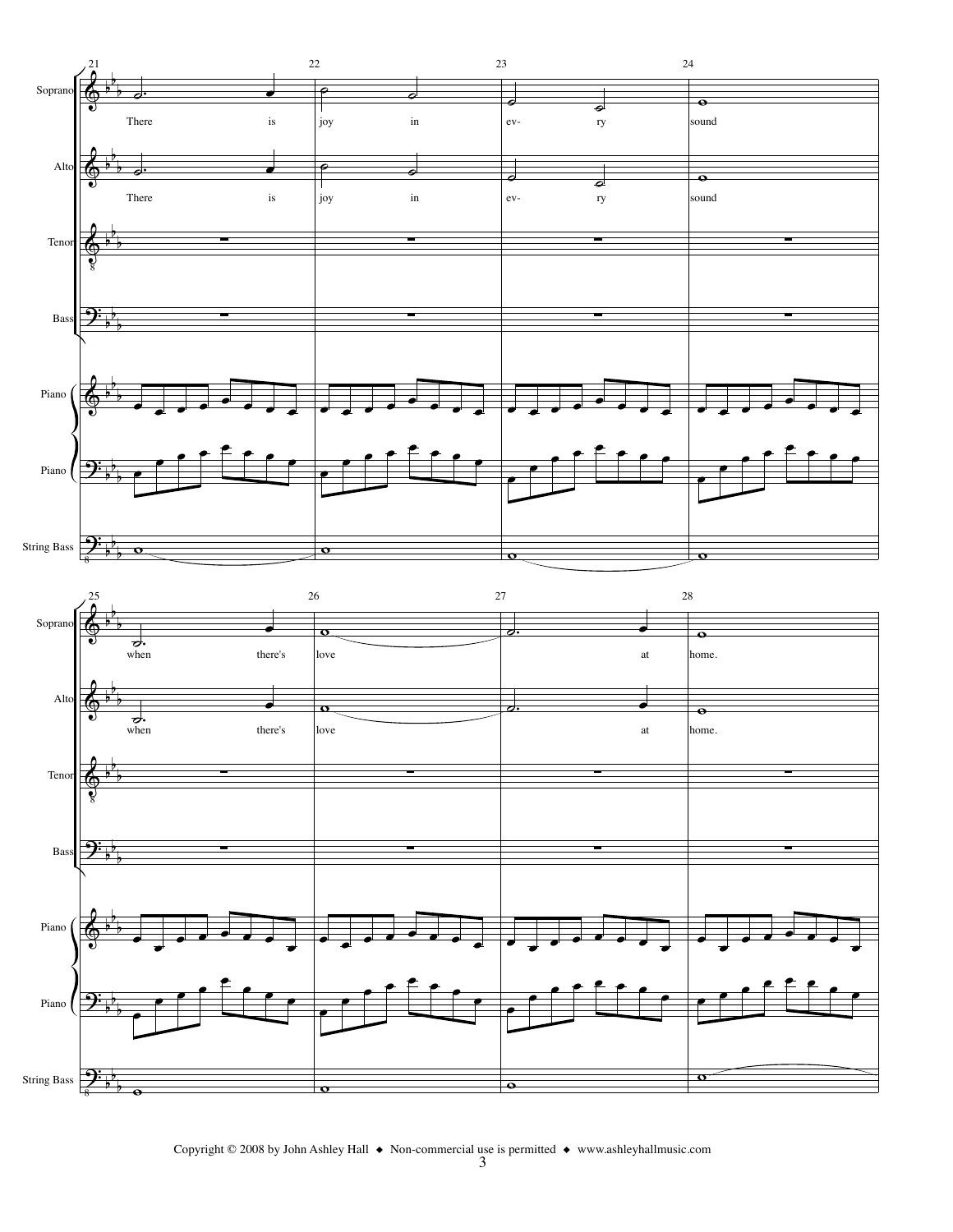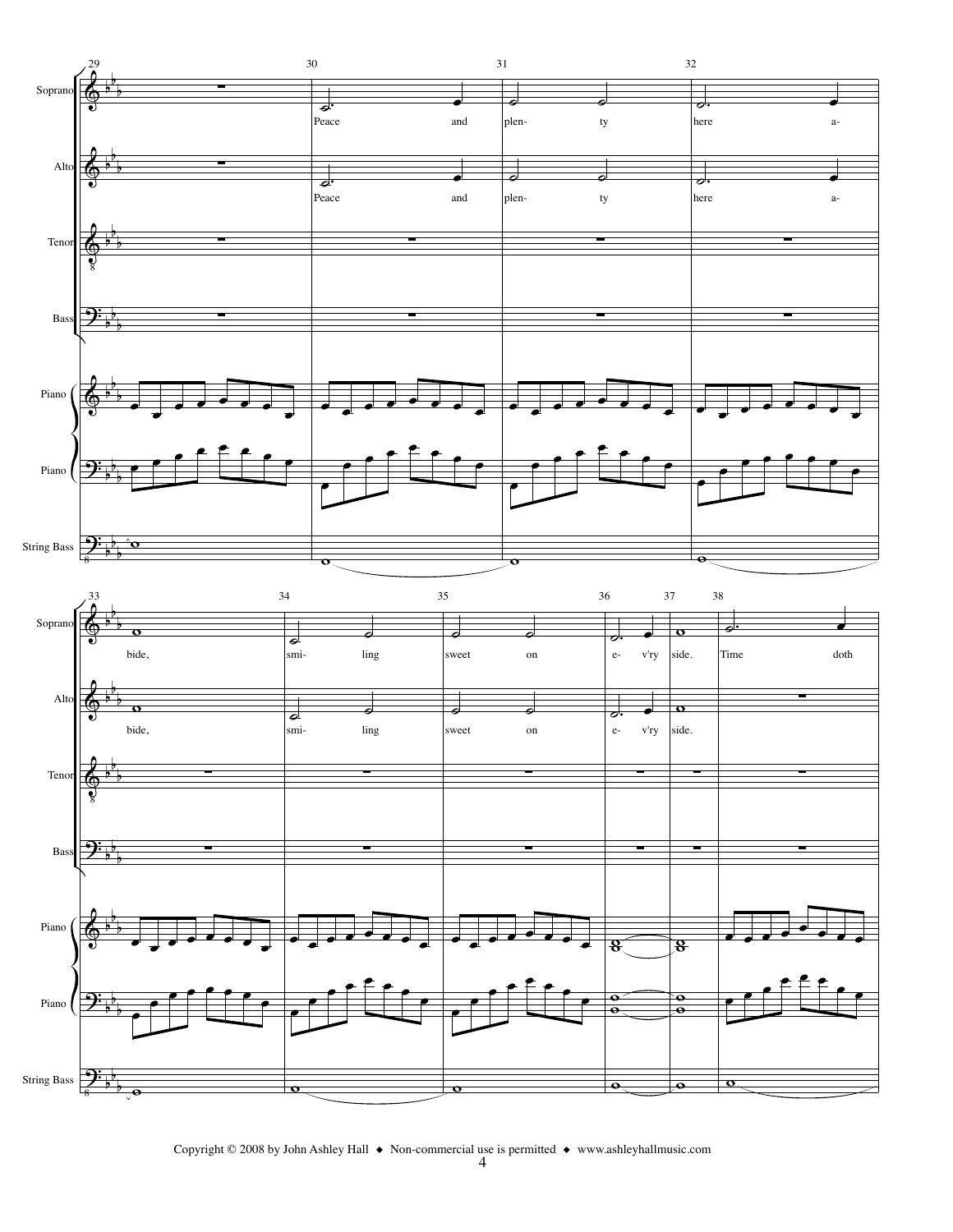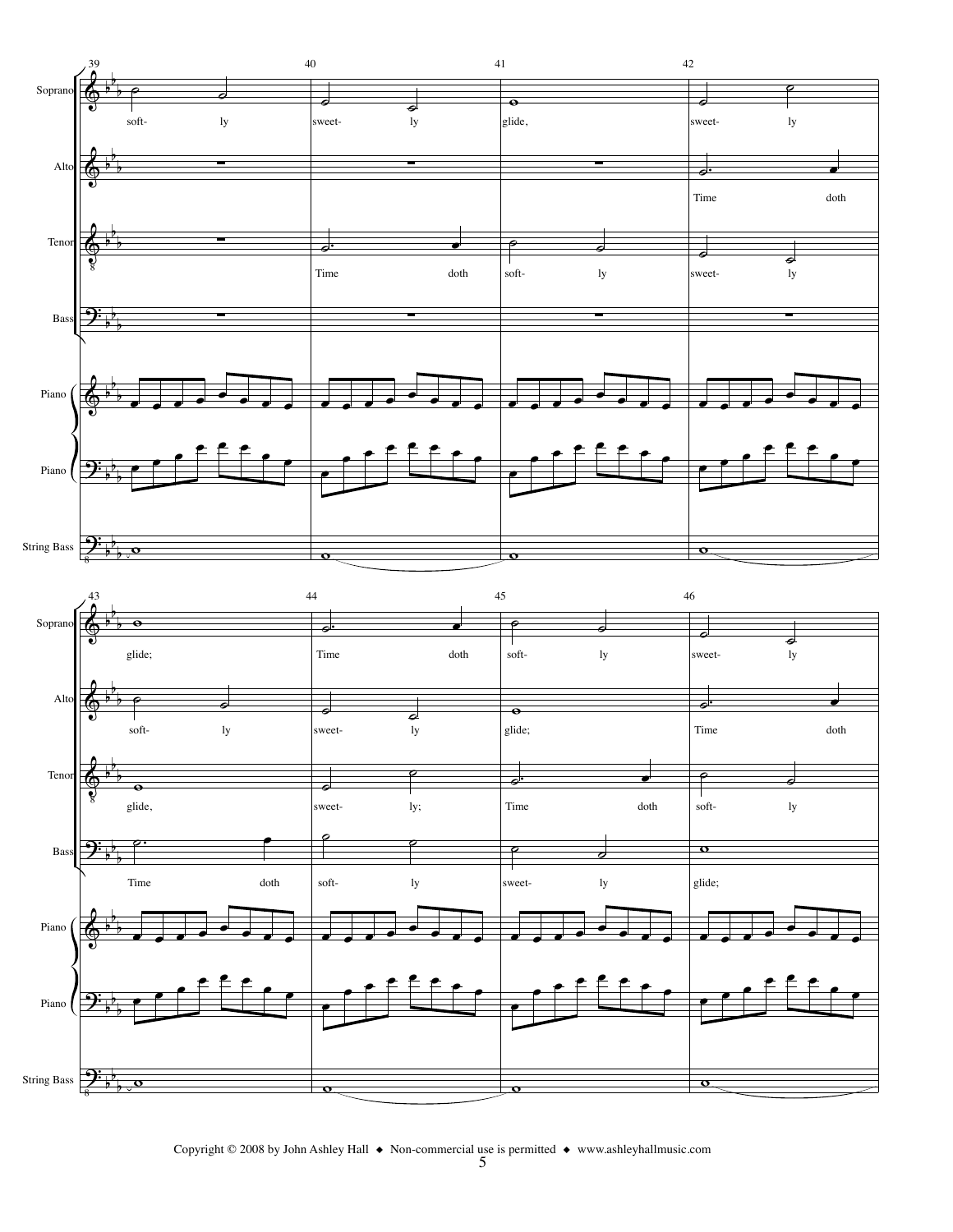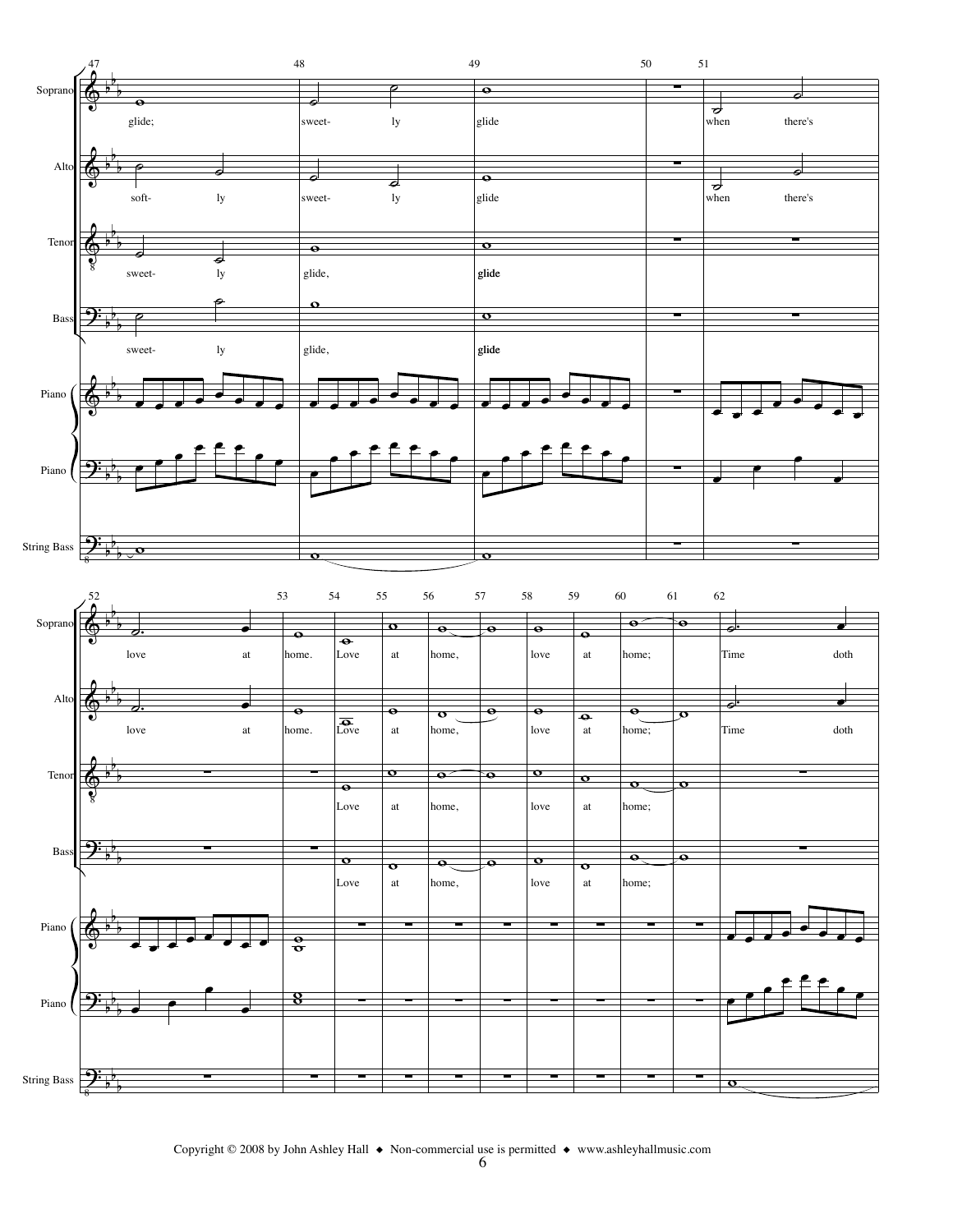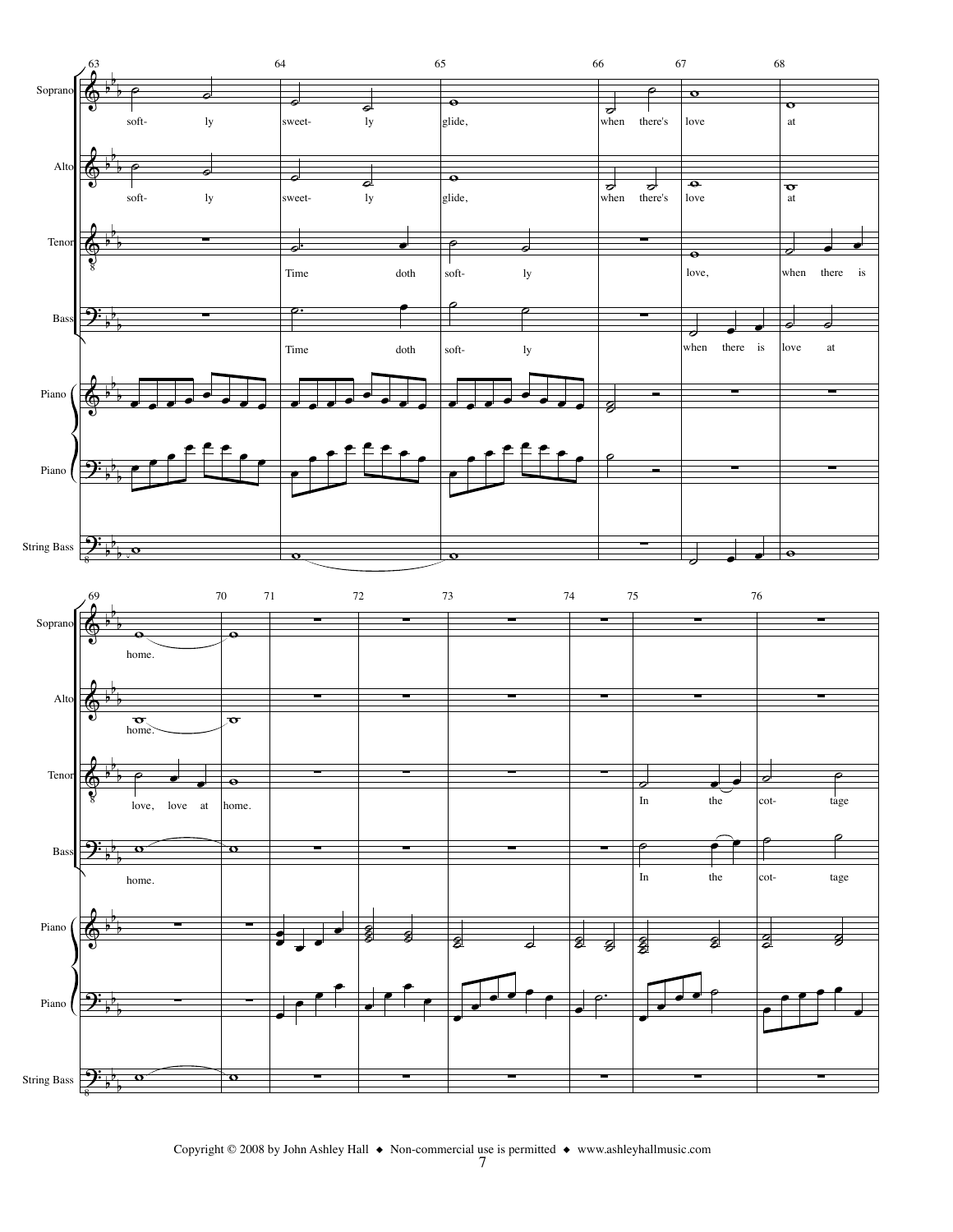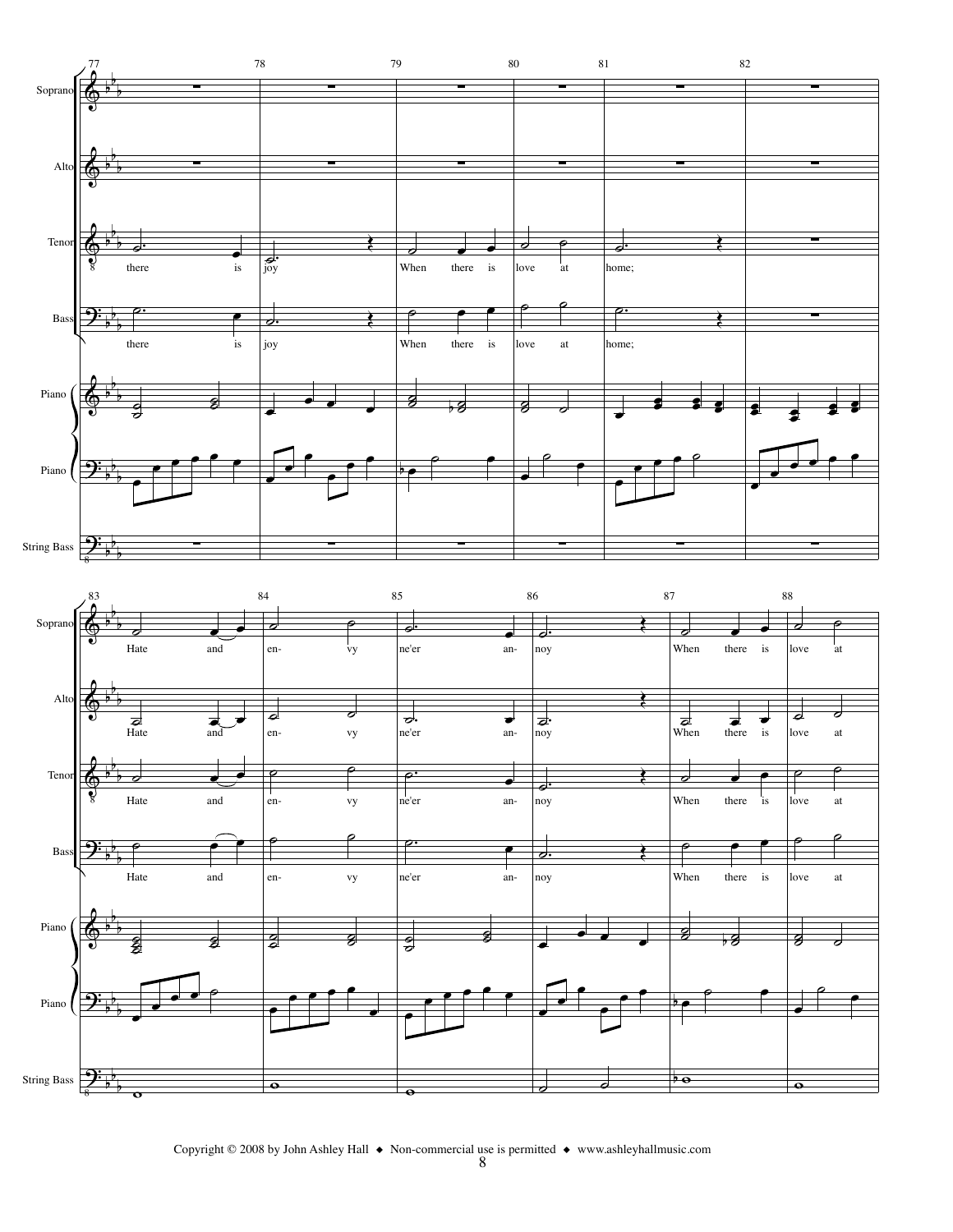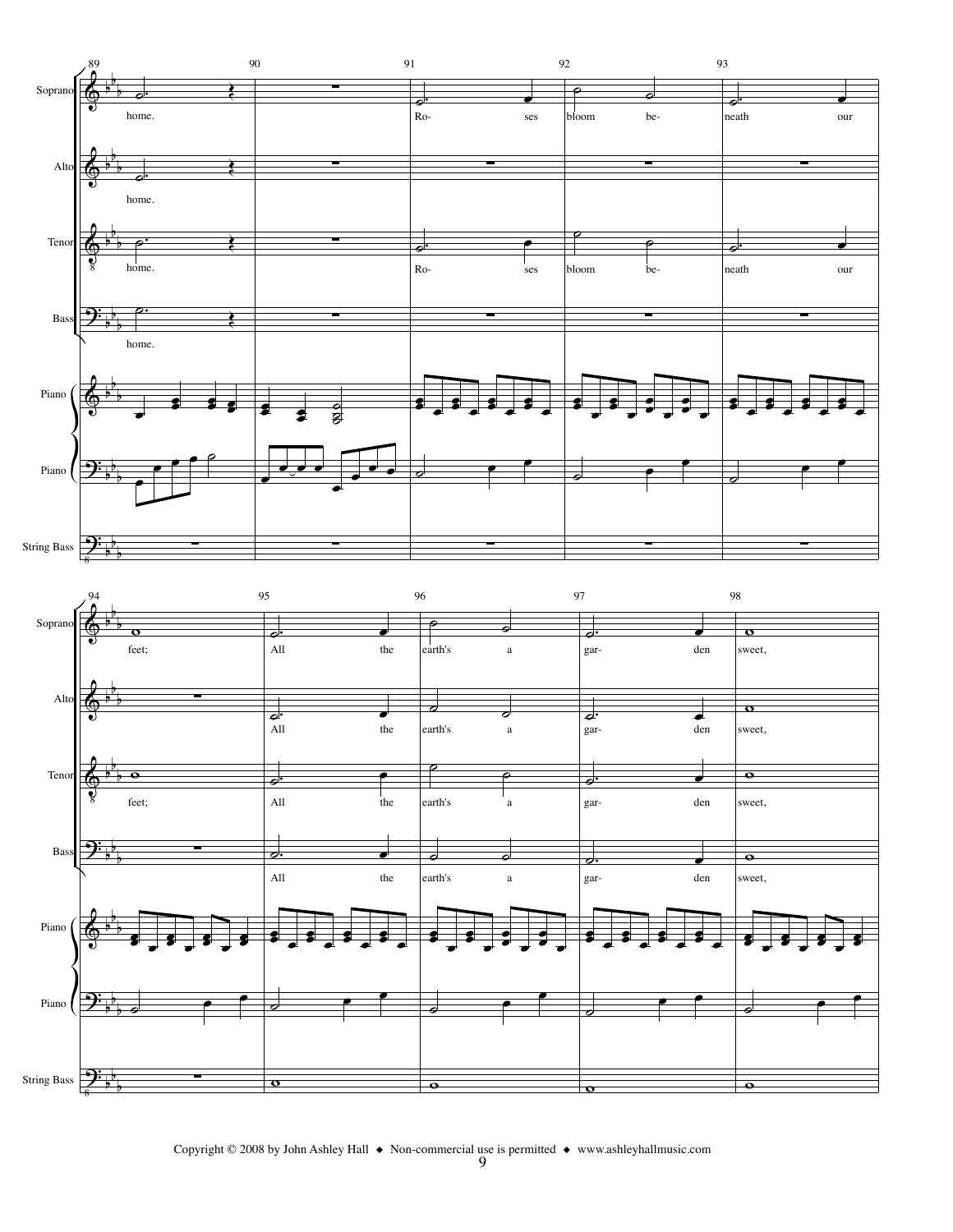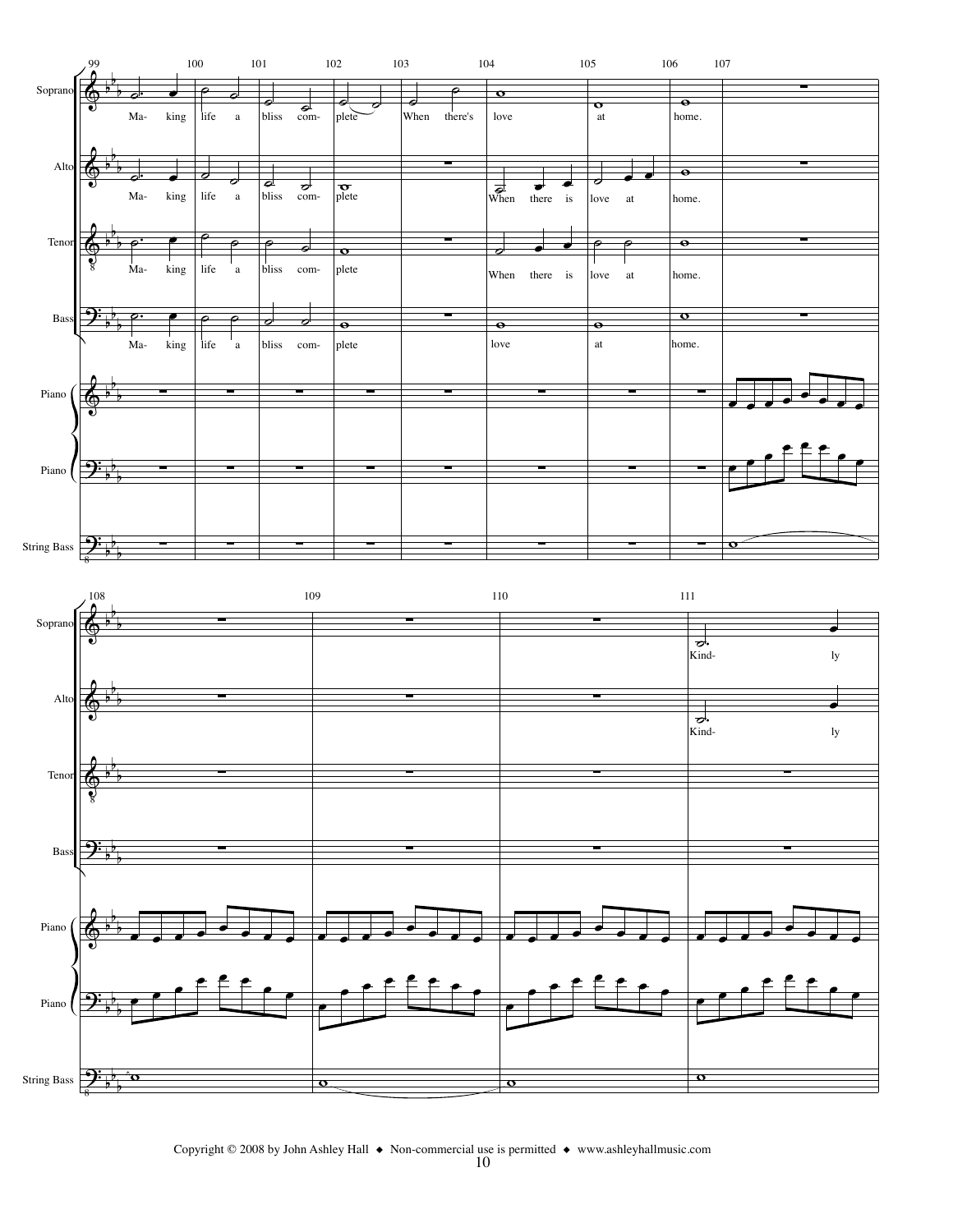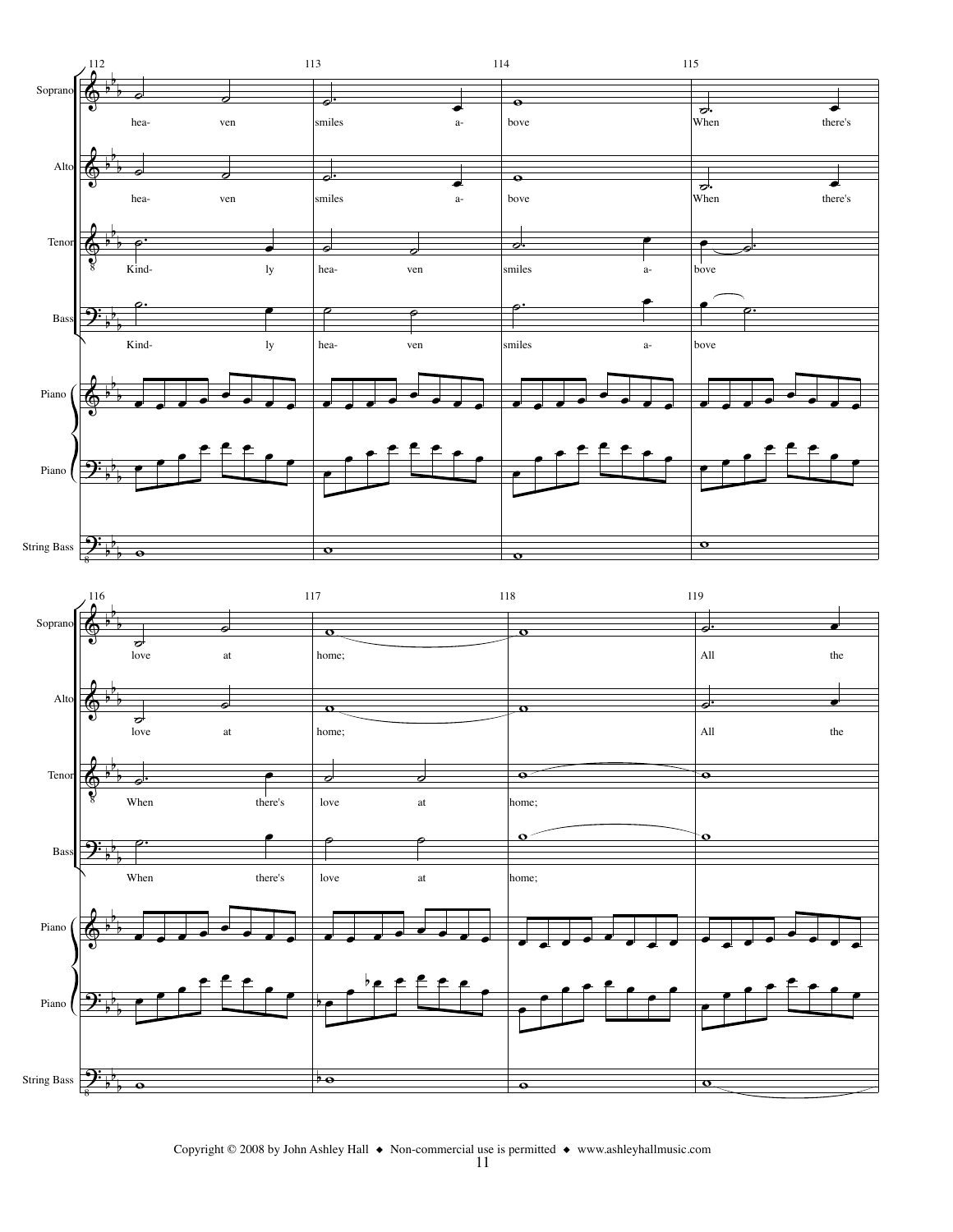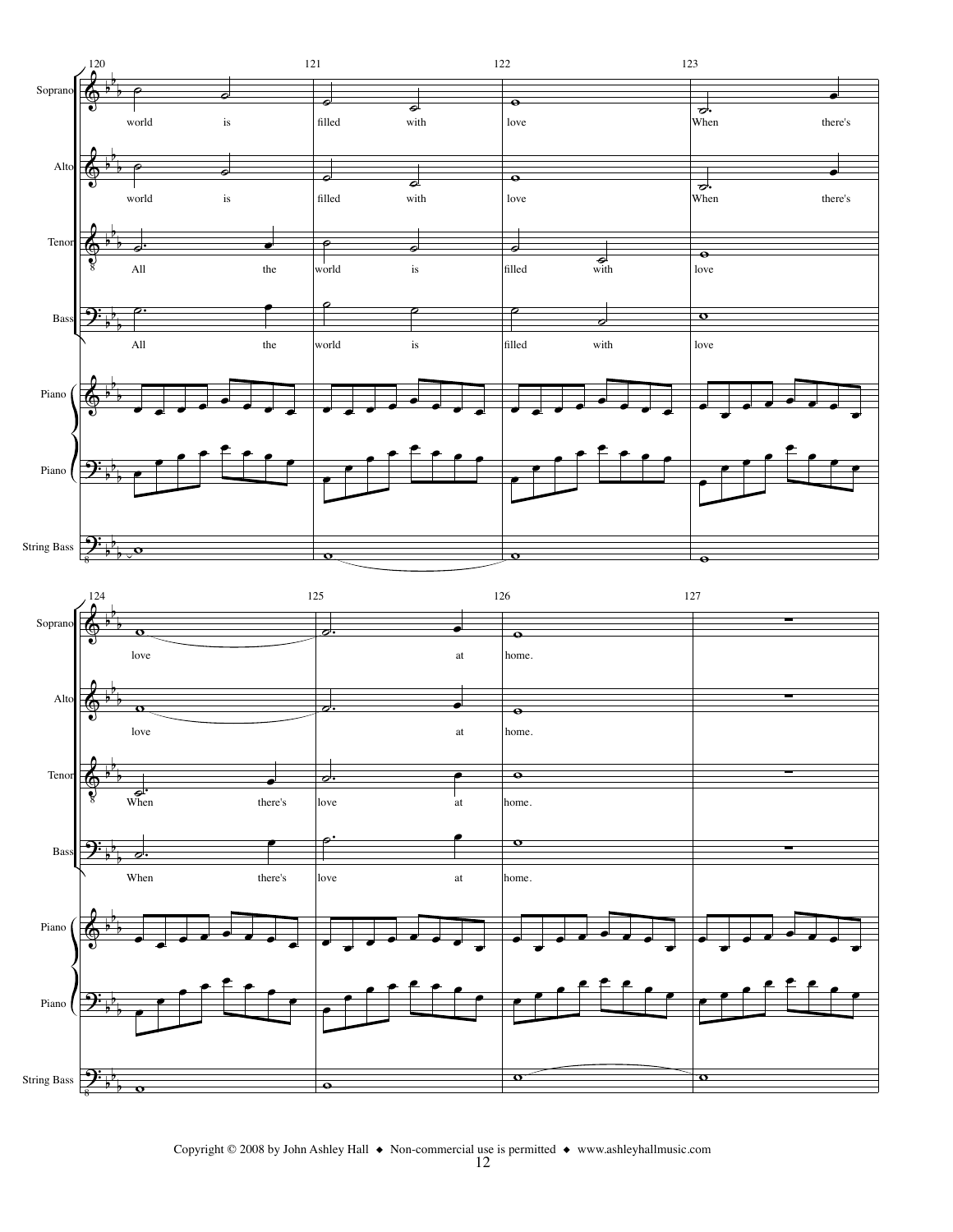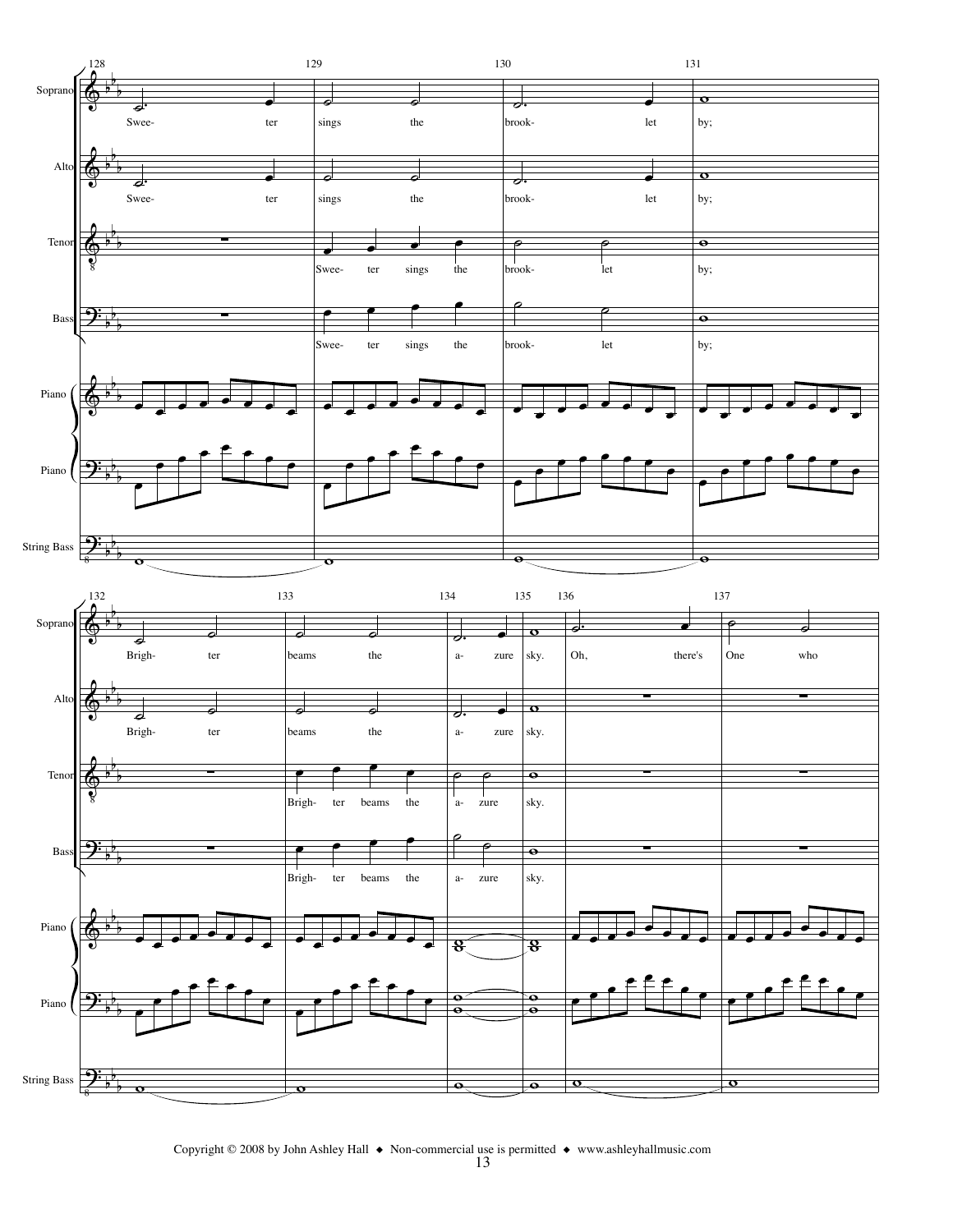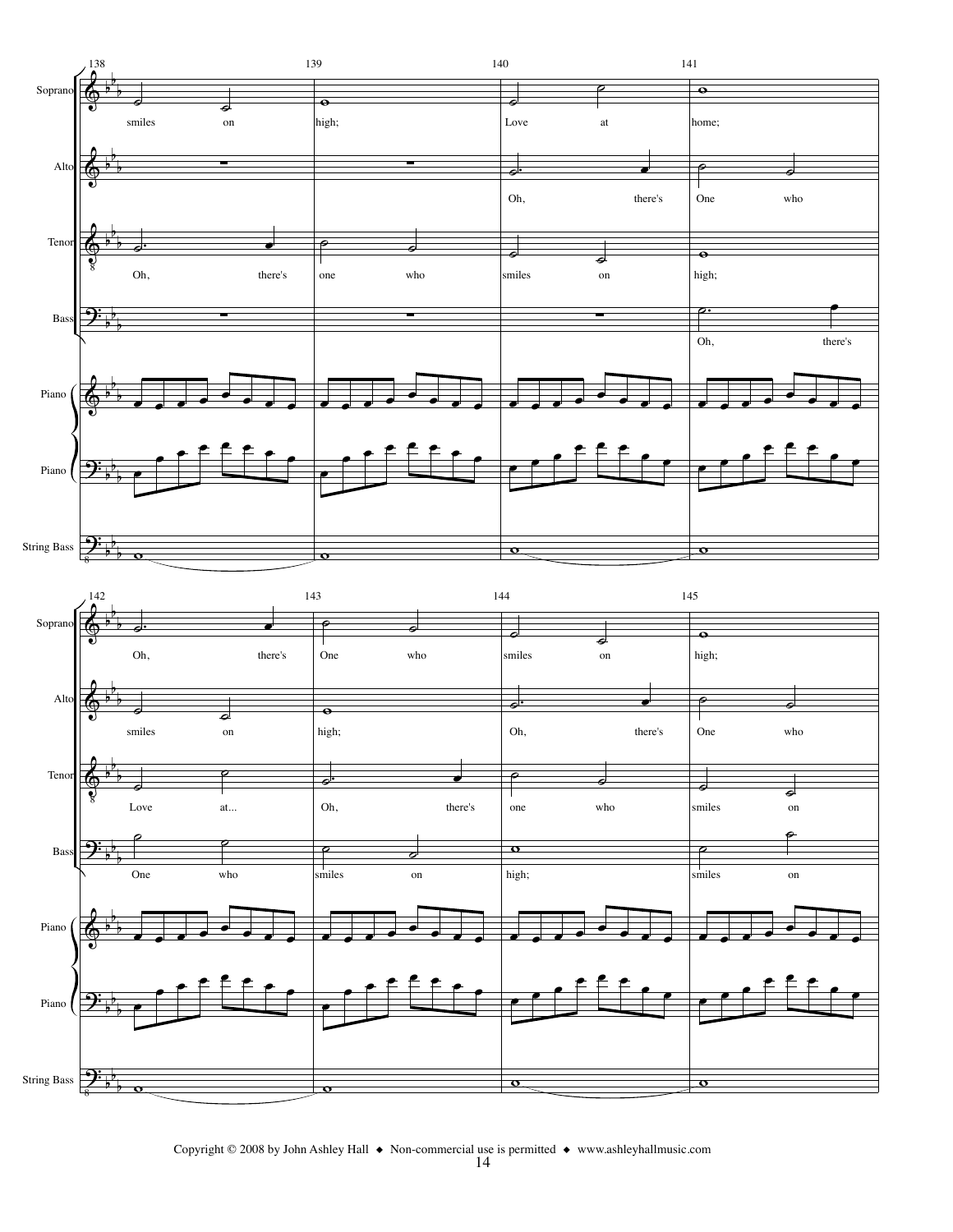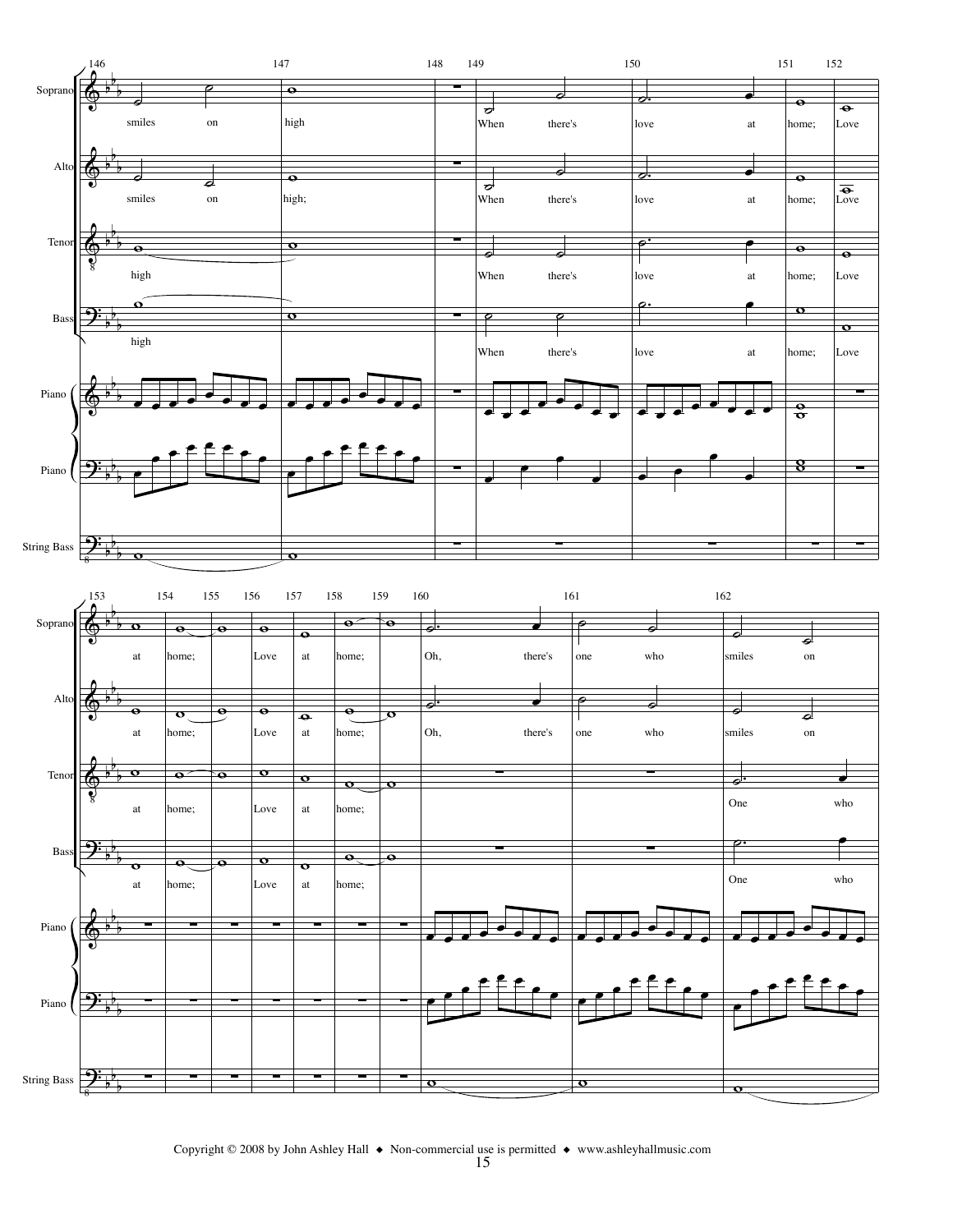